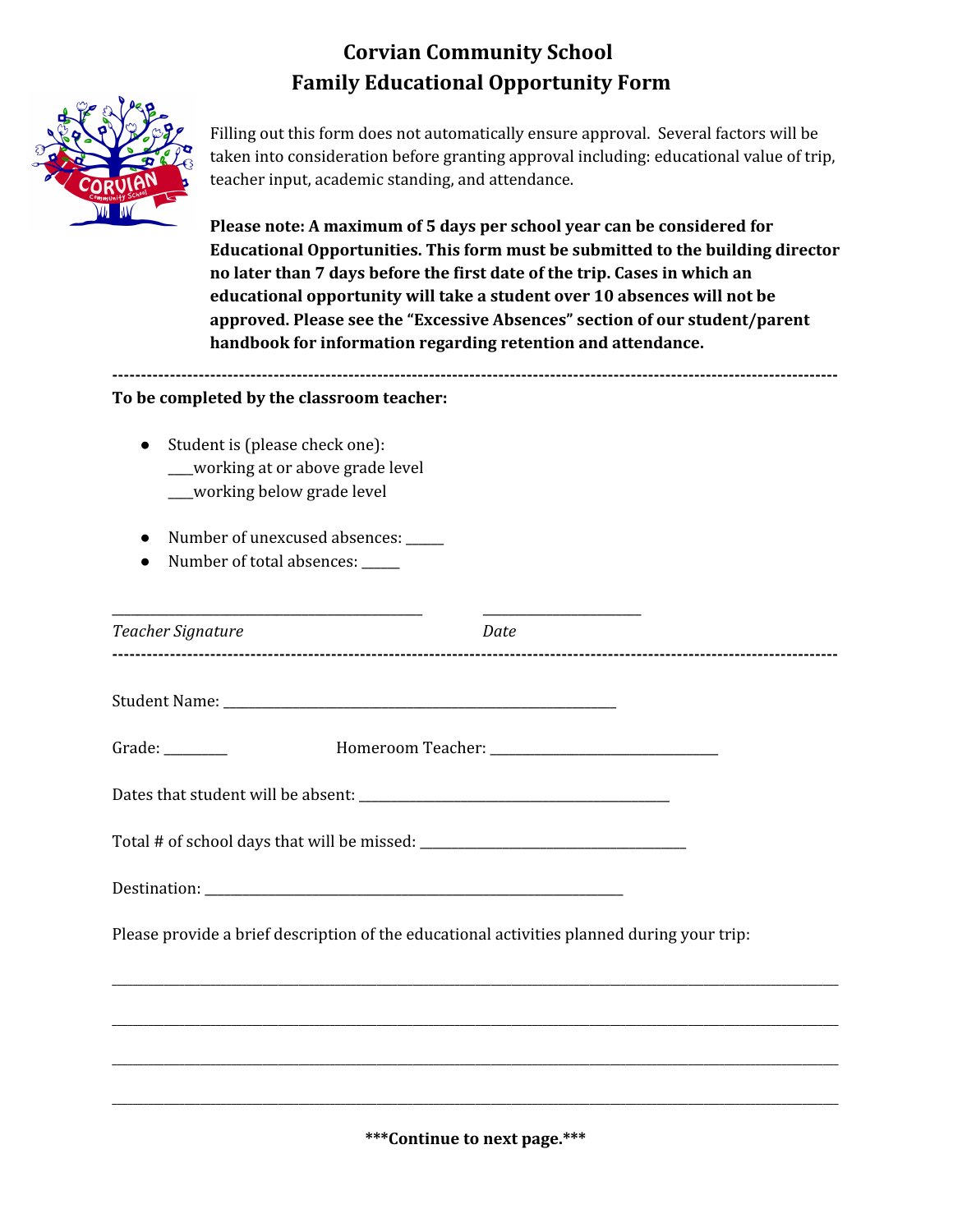## **Corvian Community School Family Educational Opportunity Form**



Filling out this form does not automatically ensure approval. Several factors will be taken into consideration before granting approval including: educational value of trip, teacher input, academic standing, and attendance.

**Please note: A maximum of 5 days per school year can be considered for Educational Opportunities. This form must be submitted to the building director no later than 7 days before the first date of the trip. Cases in which an educational opportunity will take a student over 10 absences will not be approved. Please see the "Excessive Absences" section of our student/parent handbook for information regarding retention and attendance.**

**------------------------------------------------------------------------------------------------------------------------------**

## **To be completed by the classroom teacher:**

- Student is (please check one): \_\_\_\_working at or above grade level \_\_\_\_working below grade level
- Number of unexcused absences: \_\_\_\_\_\_
- Number of total absences: \_\_\_\_\_

| Teacher Signature | Date                                                                                       |  |
|-------------------|--------------------------------------------------------------------------------------------|--|
|                   |                                                                                            |  |
| Grade: $\_\_$     |                                                                                            |  |
|                   |                                                                                            |  |
|                   |                                                                                            |  |
|                   |                                                                                            |  |
|                   | Please provide a brief description of the educational activities planned during your trip: |  |
|                   |                                                                                            |  |
|                   |                                                                                            |  |
|                   |                                                                                            |  |